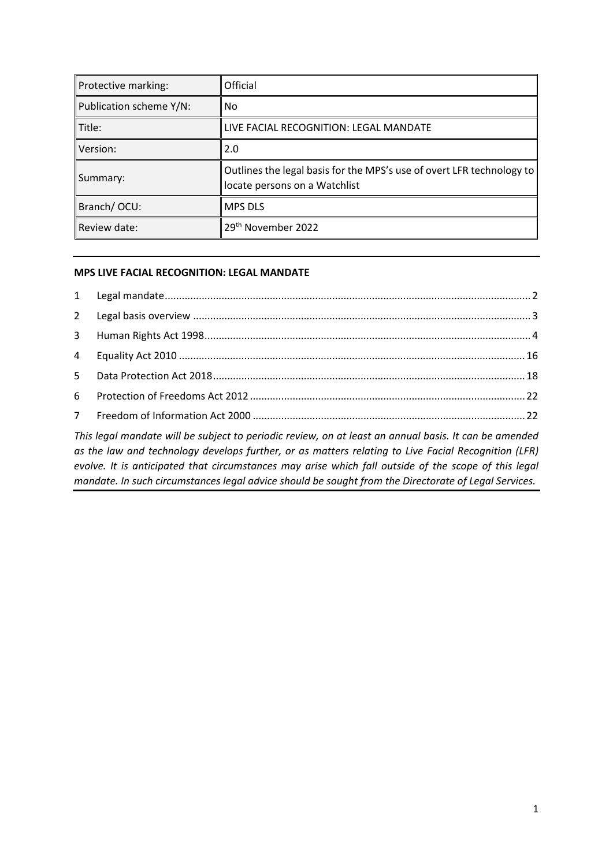| Protective marking:     | <b>Official</b>                                                                                           |
|-------------------------|-----------------------------------------------------------------------------------------------------------|
| Publication scheme Y/N: | l No                                                                                                      |
| Title:                  | LIVE FACIAL RECOGNITION: LEGAL MANDATE                                                                    |
| Version:                | 2.0                                                                                                       |
| Summary:                | Outlines the legal basis for the MPS's use of overt LFR technology to   <br>locate persons on a Watchlist |
| Branch/OCU:             | <b>MPS DLS</b>                                                                                            |
| Review date:            | 29 <sup>th</sup> November 2022                                                                            |

### **MPS LIVE FACIAL RECOGNITION: LEGAL MANDATE**

*This legal mandate will be subject to periodic review, on at least an annual basis. It can be amended as the law and technology develops further, or as matters relating to Live Facial Recognition (LFR) evolve. It is anticipated that circumstances may arise which fall outside of the scope of this legal mandate. In such circumstances legal advice should be sought from the Directorate of Legal Services.*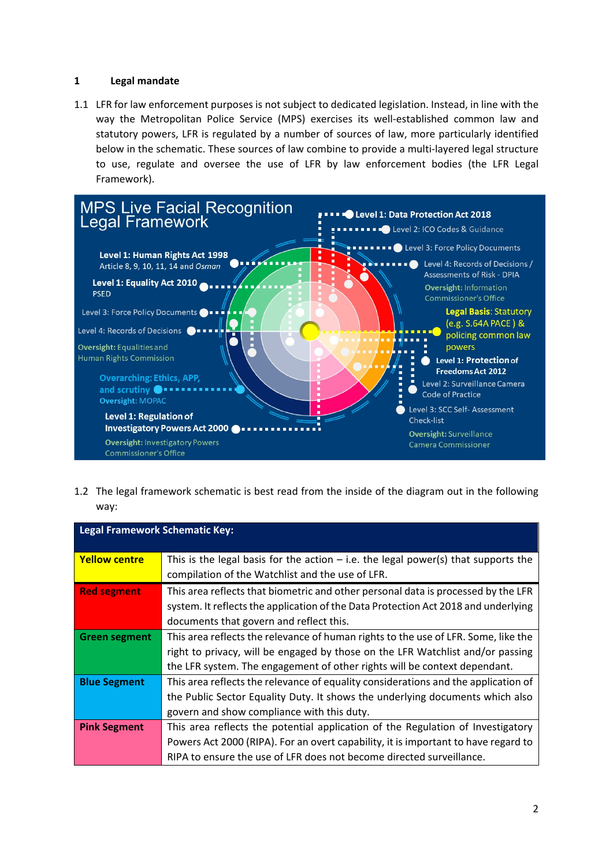### <span id="page-1-0"></span>**1 Legal mandate**

1.1 LFR for law enforcement purposes is not subject to dedicated legislation. Instead, in line with the way the Metropolitan Police Service (MPS) exercises its well-established common law and statutory powers, LFR is regulated by a number of sources of law, more particularly identified below in the schematic. These sources of law combine to provide a multi-layered legal structure to use, regulate and oversee the use of LFR by law enforcement bodies (the LFR Legal Framework).



1.2 The legal framework schematic is best read from the inside of the diagram out in the following way:

| <b>Legal Framework Schematic Key:</b> |                                                                                                                                                                                                                                                   |  |
|---------------------------------------|---------------------------------------------------------------------------------------------------------------------------------------------------------------------------------------------------------------------------------------------------|--|
| <b>Yellow centre</b>                  | This is the legal basis for the action $-$ i.e. the legal power(s) that supports the<br>compilation of the Watchlist and the use of LFR.                                                                                                          |  |
| <b>Red segment</b>                    | This area reflects that biometric and other personal data is processed by the LFR<br>system. It reflects the application of the Data Protection Act 2018 and underlying<br>documents that govern and reflect this.                                |  |
| Green segment                         | This area reflects the relevance of human rights to the use of LFR. Some, like the<br>right to privacy, will be engaged by those on the LFR Watchlist and/or passing<br>the LFR system. The engagement of other rights will be context dependant. |  |
| <b>Blue Segment</b>                   | This area reflects the relevance of equality considerations and the application of<br>the Public Sector Equality Duty. It shows the underlying documents which also<br>govern and show compliance with this duty.                                 |  |
| <b>Pink Segment</b>                   | This area reflects the potential application of the Regulation of Investigatory<br>Powers Act 2000 (RIPA). For an overt capability, it is important to have regard to<br>RIPA to ensure the use of LFR does not become directed surveillance.     |  |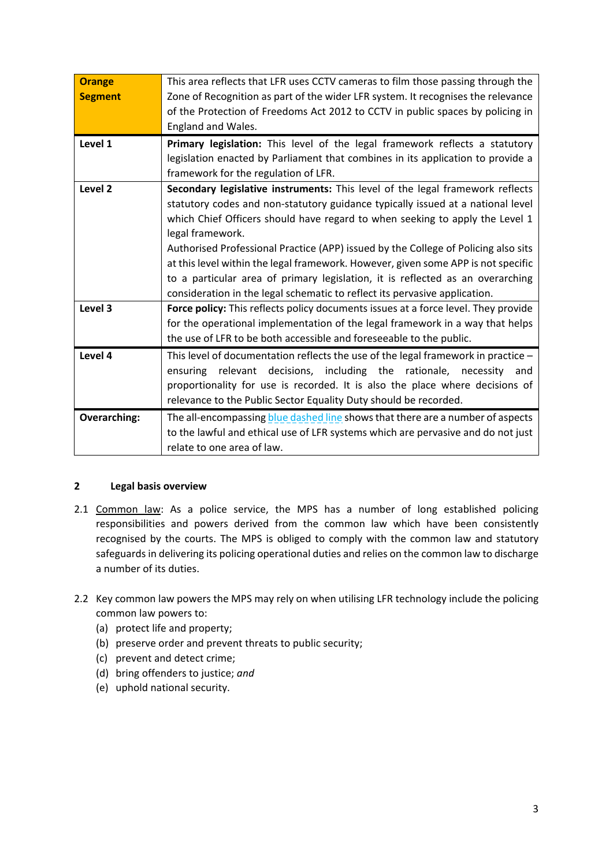| <b>Orange</b>       | This area reflects that LFR uses CCTV cameras to film those passing through the                                                                                         |  |  |
|---------------------|-------------------------------------------------------------------------------------------------------------------------------------------------------------------------|--|--|
| <b>Segment</b>      | Zone of Recognition as part of the wider LFR system. It recognises the relevance                                                                                        |  |  |
|                     | of the Protection of Freedoms Act 2012 to CCTV in public spaces by policing in                                                                                          |  |  |
|                     | England and Wales.                                                                                                                                                      |  |  |
| Level 1             | Primary legislation: This level of the legal framework reflects a statutory                                                                                             |  |  |
|                     | legislation enacted by Parliament that combines in its application to provide a                                                                                         |  |  |
|                     | framework for the regulation of LFR.                                                                                                                                    |  |  |
| Level 2             | Secondary legislative instruments: This level of the legal framework reflects                                                                                           |  |  |
|                     | statutory codes and non-statutory guidance typically issued at a national level                                                                                         |  |  |
|                     | which Chief Officers should have regard to when seeking to apply the Level 1                                                                                            |  |  |
|                     | legal framework.                                                                                                                                                        |  |  |
|                     | Authorised Professional Practice (APP) issued by the College of Policing also sits<br>at this level within the legal framework. However, given some APP is not specific |  |  |
|                     |                                                                                                                                                                         |  |  |
|                     | to a particular area of primary legislation, it is reflected as an overarching                                                                                          |  |  |
|                     | consideration in the legal schematic to reflect its pervasive application.                                                                                              |  |  |
| Level 3             | Force policy: This reflects policy documents issues at a force level. They provide                                                                                      |  |  |
|                     | for the operational implementation of the legal framework in a way that helps                                                                                           |  |  |
|                     | the use of LFR to be both accessible and foreseeable to the public.                                                                                                     |  |  |
| Level 4             | This level of documentation reflects the use of the legal framework in practice -                                                                                       |  |  |
|                     | including the<br>decisions,<br>rationale,<br>ensuring<br>relevant<br>necessity and                                                                                      |  |  |
|                     | proportionality for use is recorded. It is also the place where decisions of                                                                                            |  |  |
|                     | relevance to the Public Sector Equality Duty should be recorded.                                                                                                        |  |  |
| <b>Overarching:</b> | The all-encompassing blue dashed line shows that there are a number of aspects                                                                                          |  |  |
|                     | to the lawful and ethical use of LFR systems which are pervasive and do not just                                                                                        |  |  |
|                     | relate to one area of law.                                                                                                                                              |  |  |

## <span id="page-2-0"></span>**2 Legal basis overview**

- 2.1 Common law: As a police service, the MPS has a number of long established policing responsibilities and powers derived from the common law which have been consistently recognised by the courts. The MPS is obliged to comply with the common law and statutory safeguards in delivering its policing operational duties and relies on the common law to discharge a number of its duties.
- 2.2 Key common law powers the MPS may rely on when utilising LFR technology include the policing common law powers to:
	- (a) protect life and property;
	- (b) preserve order and prevent threats to public security;
	- (c) prevent and detect crime;
	- (d) bring offenders to justice; *and*
	- (e) uphold national security.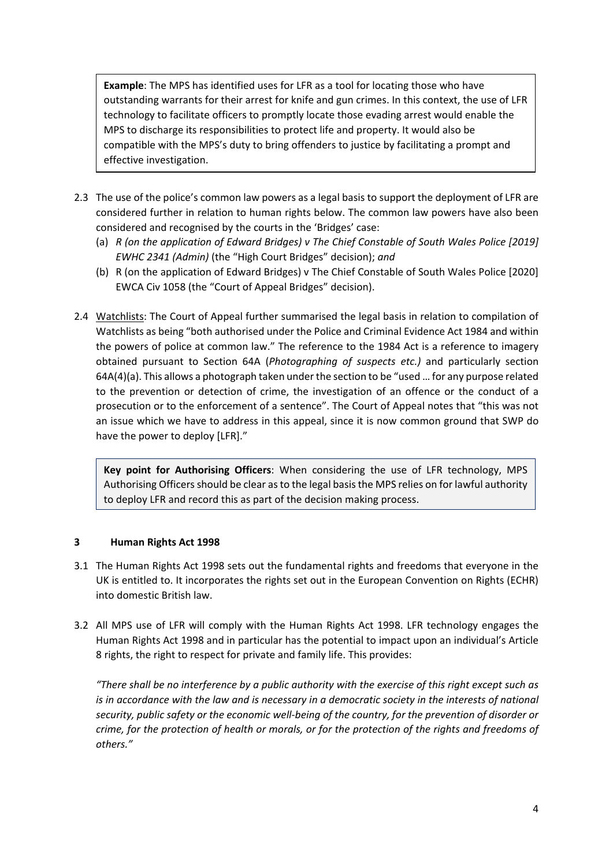**Example**: The MPS has identified uses for LFR as a tool for locating those who have outstanding warrants for their arrest for knife and gun crimes. In this context, the use of LFR technology to facilitate officers to promptly locate those evading arrest would enable the MPS to discharge its responsibilities to protect life and property. It would also be compatible with the MPS's duty to bring offenders to justice by facilitating a prompt and effective investigation.

- 2.3 The use of the police's common law powers as a legal basis to support the deployment of LFR are considered further in relation to human rights below. The common law powers have also been considered and recognised by the courts in the 'Bridges' case:
	- (a) *R (on the application of Edward Bridges) v The Chief Constable of South Wales Police [2019] EWHC 2341 (Admin)* (the "High Court Bridges" decision); *and*
	- (b) R (on the application of Edward Bridges) v The Chief Constable of South Wales Police [2020] EWCA Civ 1058 (the "Court of Appeal Bridges" decision).
- 2.4 Watchlists: The Court of Appeal further summarised the legal basis in relation to compilation of Watchlists as being "both authorised under the Police and Criminal Evidence Act 1984 and within the powers of police at common law." The reference to the 1984 Act is a reference to imagery obtained pursuant to Section 64A (*Photographing of suspects etc.)* and particularly section 64A(4)(a). This allows a photograph taken under the section to be "used … for any purpose related to the prevention or detection of crime, the investigation of an offence or the conduct of a prosecution or to the enforcement of a sentence". The Court of Appeal notes that "this was not an issue which we have to address in this appeal, since it is now common ground that SWP do have the power to deploy [LFR]."

**Key point for Authorising Officers**: When considering the use of LFR technology, MPS Authorising Officersshould be clear as to the legal basisthe MPS relies on for lawful authority to deploy LFR and record this as part of the decision making process.

## <span id="page-3-0"></span>**3 Human Rights Act 1998**

- 3.1 The Human Rights Act 1998 sets out the fundamental rights and freedoms that everyone in the UK is entitled to. It incorporates the rights set out in the European Convention on Rights (ECHR) into domestic British law.
- 3.2 All MPS use of LFR will comply with the Human Rights Act 1998. LFR technology engages the Human Rights Act 1998 and in particular has the potential to impact upon an individual's Article 8 rights, the right to respect for private and family life. This provides:

*"There shall be no interference by a public authority with the exercise of this right except such as is in accordance with the law and is necessary in a democratic society in the interests of national security, public safety or the economic well-being of the country, for the prevention of disorder or crime, for the protection of health or morals, or for the protection of the rights and freedoms of others."*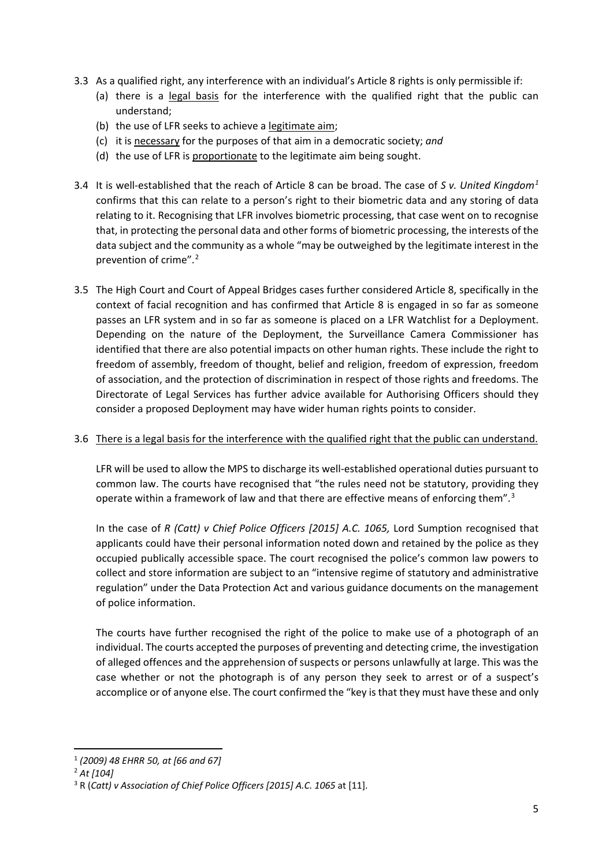- 3.3 As a qualified right, any interference with an individual's Article 8 rights is only permissible if:
	- (a) there is a legal basis for the interference with the qualified right that the public can understand;
	- (b) the use of LFR seeks to achieve a legitimate aim;
	- (c) it is necessary for the purposes of that aim in a democratic society; *and*
	- (d) the use of LFR is proportionate to the legitimate aim being sought.
- 3.4 It is well-established that the reach of Article 8 can be broad. The case of *S v. United Kingdom[1](#page-4-0)* confirms that this can relate to a person's right to their biometric data and any storing of data relating to it. Recognising that LFR involves biometric processing, that case went on to recognise that, in protecting the personal data and other forms of biometric processing, the interests of the data subject and the community as a whole "may be outweighed by the legitimate interest in the prevention of crime".[2](#page-4-1)
- 3.5 The High Court and Court of Appeal Bridges cases further considered Article 8, specifically in the context of facial recognition and has confirmed that Article 8 is engaged in so far as someone passes an LFR system and in so far as someone is placed on a LFR Watchlist for a Deployment. Depending on the nature of the Deployment, the Surveillance Camera Commissioner has identified that there are also potential impacts on other human rights. These include the right to freedom of assembly, freedom of thought, belief and religion, freedom of expression, freedom of association, and the protection of discrimination in respect of those rights and freedoms. The Directorate of Legal Services has further advice available for Authorising Officers should they consider a proposed Deployment may have wider human rights points to consider.

### 3.6 There is a legal basis for the interference with the qualified right that the public can understand.

LFR will be used to allow the MPS to discharge its well-established operational duties pursuant to common law. The courts have recognised that "the rules need not be statutory, providing they operate within a framework of law and that there are effective means of enforcing them".<sup>[3](#page-4-2)</sup>

In the case of *R (Catt) v Chief Police Officers [2015] A.C. 1065,* Lord Sumption recognised that applicants could have their personal information noted down and retained by the police as they occupied publically accessible space. The court recognised the police's common law powers to collect and store information are subject to an "intensive regime of statutory and administrative regulation" under the Data Protection Act and various guidance documents on the management of police information.

The courts have further recognised the right of the police to make use of a photograph of an individual. The courts accepted the purposes of preventing and detecting crime, the investigation of alleged offences and the apprehension of suspects or persons unlawfully at large. This was the case whether or not the photograph is of any person they seek to arrest or of a suspect's accomplice or of anyone else. The court confirmed the "key is that they must have these and only

 <sup>1</sup> *(2009) 48 EHRR 50, at [66 and 67]*

<span id="page-4-1"></span><span id="page-4-0"></span><sup>2</sup> *At [104]*

<span id="page-4-2"></span><sup>3</sup> R (*[Catt\) v Association of Chief Police Officers](https://uk.practicallaw.thomsonreuters.com/Document/I293BC9D0C29411E49598A3F15E5C1D3E/View/FullText.html?originationContext=document&transitionType=DocumentItem&contextData=%28sc.Search%29&comp=wluk) [2015] A.C. 1065* at [11].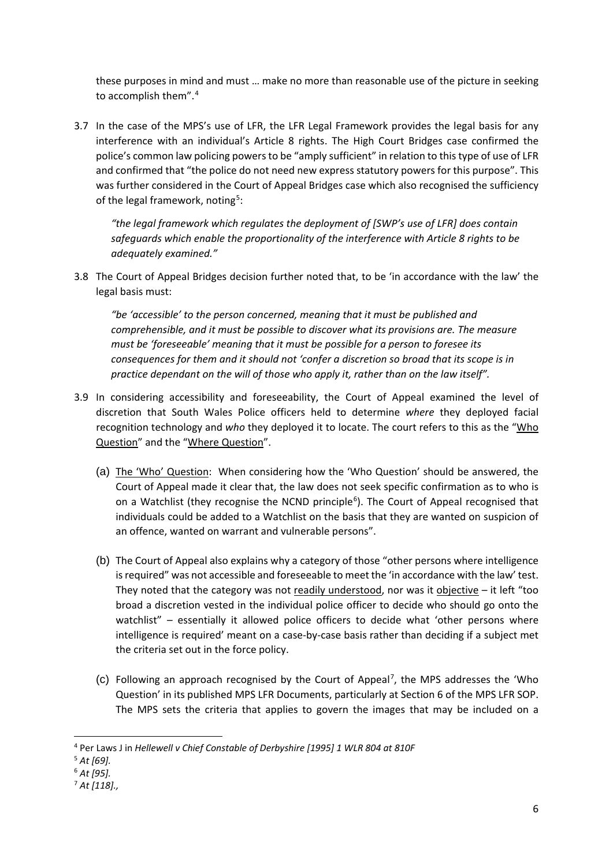these purposes in mind and must … make no more than reasonable use of the picture in seeking to accomplish them".<sup>[4](#page-5-0)</sup>

3.7 In the case of the MPS's use of LFR, the LFR Legal Framework provides the legal basis for any interference with an individual's Article 8 rights. The High Court Bridges case confirmed the police's common law policing powers to be "amply sufficient" in relation to this type of use of LFR and confirmed that "the police do not need new express statutory powers for this purpose". This was further considered in the Court of Appeal Bridges case which also recognised the sufficiency of the legal framework, noting<sup>[5](#page-5-1)</sup>:

*"the legal framework which regulates the deployment of [SWP's use of LFR] does contain safeguards which enable the proportionality of the interference with Article 8 rights to be adequately examined."* 

3.8 The Court of Appeal Bridges decision further noted that, to be 'in accordance with the law' the legal basis must:

*"be 'accessible' to the person concerned, meaning that it must be published and comprehensible, and it must be possible to discover what its provisions are. The measure must be 'foreseeable' meaning that it must be possible for a person to foresee its consequences for them and it should not 'confer a discretion so broad that its scope is in practice dependant on the will of those who apply it, rather than on the law itself".*

- 3.9 In considering accessibility and foreseeability, the Court of Appeal examined the level of discretion that South Wales Police officers held to determine *where* they deployed facial recognition technology and *who* they deployed it to locate. The court refers to this as the "Who Question" and the "Where Question".
	- (a) The 'Who' Question: When considering how the 'Who Question' should be answered, the Court of Appeal made it clear that, the law does not seek specific confirmation as to who is on a Watchlist (they recognise the NCND principle<sup>[6](#page-5-2)</sup>). The Court of Appeal recognised that individuals could be added to a Watchlist on the basis that they are wanted on suspicion of an offence, wanted on warrant and vulnerable persons".
	- (b) The Court of Appeal also explains why a category of those "other persons where intelligence is required" was not accessible and foreseeable to meet the 'in accordance with the law' test. They noted that the category was not readily understood, nor was it objective  $-$  it left "too broad a discretion vested in the individual police officer to decide who should go onto the watchlist" – essentially it allowed police officers to decide what 'other persons where intelligence is required' meant on a case-by-case basis rather than deciding if a subject met the criteria set out in the force policy.
	- $(c)$  Following an approach recognised by the Court of Appeal<sup>[7](#page-5-3)</sup>, the MPS addresses the 'Who Question' in its published MPS LFR Documents, particularly at Section 6 of the MPS LFR SOP. The MPS sets the criteria that applies to govern the images that may be included on a

<span id="page-5-0"></span> <sup>4</sup> Per Laws J in *Hellewell v Chief Constable of Derbyshire [1995] 1 WLR 804 at 810F*

<span id="page-5-1"></span><sup>5</sup> *At [69].*

<span id="page-5-2"></span><sup>6</sup> *At [95].*

<span id="page-5-3"></span><sup>7</sup> *At [118].,*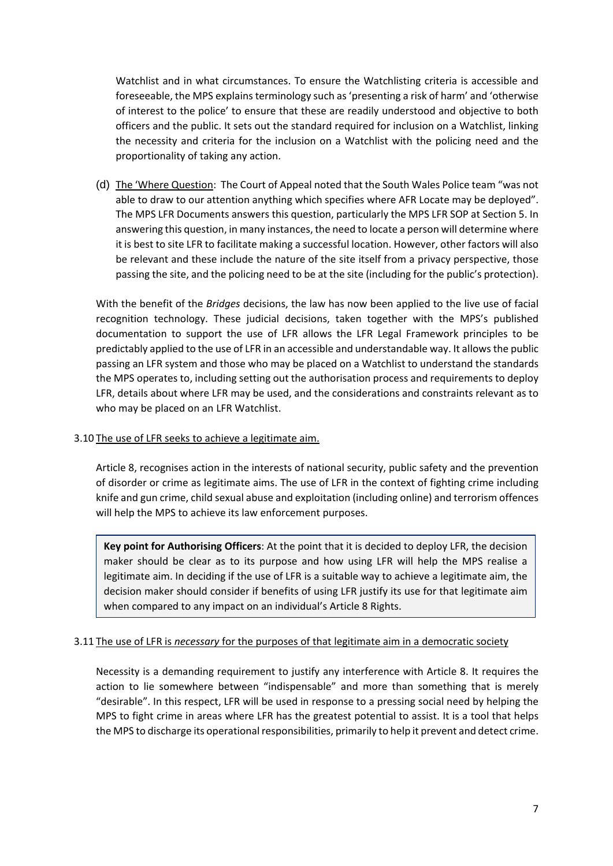Watchlist and in what circumstances. To ensure the Watchlisting criteria is accessible and foreseeable, the MPS explains terminology such as 'presenting a risk of harm' and 'otherwise of interest to the police' to ensure that these are readily understood and objective to both officers and the public. It sets out the standard required for inclusion on a Watchlist, linking the necessity and criteria for the inclusion on a Watchlist with the policing need and the proportionality of taking any action.

(d) The 'Where Question: The Court of Appeal noted that the South Wales Police team "was not able to draw to our attention anything which specifies where AFR Locate may be deployed". The MPS LFR Documents answers this question, particularly the MPS LFR SOP at Section 5. In answering this question, in many instances, the need to locate a person will determine where it is best to site LFR to facilitate making a successful location. However, other factors will also be relevant and these include the nature of the site itself from a privacy perspective, those passing the site, and the policing need to be at the site (including for the public's protection).

With the benefit of the *Bridges* decisions, the law has now been applied to the live use of facial recognition technology. These judicial decisions, taken together with the MPS's published documentation to support the use of LFR allows the LFR Legal Framework principles to be predictably applied to the use of LFR in an accessible and understandable way. It allows the public passing an LFR system and those who may be placed on a Watchlist to understand the standards the MPS operates to, including setting out the authorisation process and requirements to deploy LFR, details about where LFR may be used, and the considerations and constraints relevant as to who may be placed on an LFR Watchlist.

#### 3.10 The use of LFR seeks to achieve a legitimate aim.

Article 8, recognises action in the interests of national security, public safety and the prevention of disorder or crime as legitimate aims. The use of LFR in the context of fighting crime including knife and gun crime, child sexual abuse and exploitation (including online) and terrorism offences will help the MPS to achieve its law enforcement purposes.

**Key point for Authorising Officers**: At the point that it is decided to deploy LFR, the decision maker should be clear as to its purpose and how using LFR will help the MPS realise a legitimate aim. In deciding if the use of LFR is a suitable way to achieve a legitimate aim, the decision maker should consider if benefits of using LFR justify its use for that legitimate aim when compared to any impact on an individual's Article 8 Rights.

#### 3.11 The use of LFR is *necessary* for the purposes of that legitimate aim in a democratic society

Necessity is a demanding requirement to justify any interference with Article 8. It requires the action to lie somewhere between "indispensable" and more than something that is merely "desirable". In this respect, LFR will be used in response to a pressing social need by helping the MPS to fight crime in areas where LFR has the greatest potential to assist. It is a tool that helps the MPS to discharge its operational responsibilities, primarily to help it prevent and detect crime.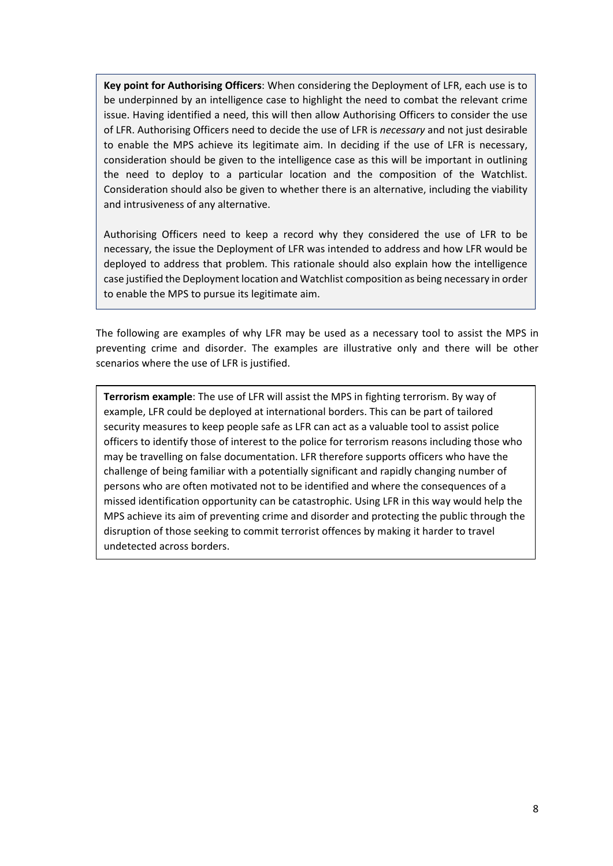**Key point for Authorising Officers**: When considering the Deployment of LFR, each use is to be underpinned by an intelligence case to highlight the need to combat the relevant crime issue. Having identified a need, this will then allow Authorising Officers to consider the use of LFR. Authorising Officers need to decide the use of LFR is *necessary* and not just desirable to enable the MPS achieve its legitimate aim. In deciding if the use of LFR is necessary, consideration should be given to the intelligence case as this will be important in outlining the need to deploy to a particular location and the composition of the Watchlist. Consideration should also be given to whether there is an alternative, including the viability and intrusiveness of any alternative.

Authorising Officers need to keep a record why they considered the use of LFR to be necessary, the issue the Deployment of LFR was intended to address and how LFR would be deployed to address that problem. This rationale should also explain how the intelligence case justified the Deployment location and Watchlist composition as being necessary in order to enable the MPS to pursue its legitimate aim.

The following are examples of why LFR may be used as a necessary tool to assist the MPS in preventing crime and disorder. The examples are illustrative only and there will be other scenarios where the use of LFR is justified.

**Terrorism example**: The use of LFR will assist the MPS in fighting terrorism. By way of example, LFR could be deployed at international borders. This can be part of tailored security measures to keep people safe as LFR can act as a valuable tool to assist police officers to identify those of interest to the police for terrorism reasons including those who may be travelling on false documentation. LFR therefore supports officers who have the challenge of being familiar with a potentially significant and rapidly changing number of persons who are often motivated not to be identified and where the consequences of a missed identification opportunity can be catastrophic. Using LFR in this way would help the MPS achieve its aim of preventing crime and disorder and protecting the public through the disruption of those seeking to commit terrorist offences by making it harder to travel undetected across borders.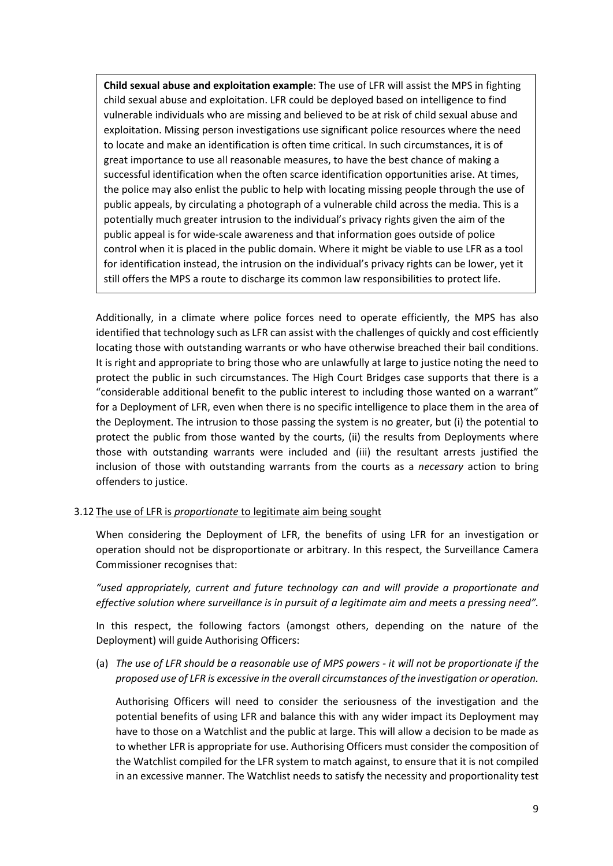**Child sexual abuse and exploitation example**: The use of LFR will assist the MPS in fighting child sexual abuse and exploitation. LFR could be deployed based on intelligence to find vulnerable individuals who are missing and believed to be at risk of child sexual abuse and exploitation. Missing person investigations use significant police resources where the need to locate and make an identification is often time critical. In such circumstances, it is of great importance to use all reasonable measures, to have the best chance of making a successful identification when the often scarce identification opportunities arise. At times, the police may also enlist the public to help with locating missing people through the use of public appeals, by circulating a photograph of a vulnerable child across the media. This is a potentially much greater intrusion to the individual's privacy rights given the aim of the public appeal is for wide-scale awareness and that information goes outside of police control when it is placed in the public domain. Where it might be viable to use LFR as a tool for identification instead, the intrusion on the individual's privacy rights can be lower, yet it still offers the MPS a route to discharge its common law responsibilities to protect life.

Additionally, in a climate where police forces need to operate efficiently, the MPS has also identified that technology such as LFR can assist with the challenges of quickly and cost efficiently locating those with outstanding warrants or who have otherwise breached their bail conditions. It is right and appropriate to bring those who are unlawfully at large to justice noting the need to protect the public in such circumstances. The High Court Bridges case supports that there is a "considerable additional benefit to the public interest to including those wanted on a warrant" for a Deployment of LFR, even when there is no specific intelligence to place them in the area of the Deployment. The intrusion to those passing the system is no greater, but (i) the potential to protect the public from those wanted by the courts, (ii) the results from Deployments where those with outstanding warrants were included and (iii) the resultant arrests justified the inclusion of those with outstanding warrants from the courts as a *necessary* action to bring offenders to justice.

#### <span id="page-8-0"></span>3.12 The use of LFR is *proportionate* to legitimate aim being sought

When considering the Deployment of LFR, the benefits of using LFR for an investigation or operation should not be disproportionate or arbitrary. In this respect, the Surveillance Camera Commissioner recognises that:

*"used appropriately, current and future technology can and will provide a proportionate and effective solution where surveillance is in pursuit of a legitimate aim and meets a pressing need".* 

In this respect, the following factors (amongst others, depending on the nature of the Deployment) will guide Authorising Officers:

(a) *The use of LFR should be a reasonable use of MPS powers - it will not be proportionate if the proposed use of LFR is excessive in the overall circumstances of the investigation or operation.* 

Authorising Officers will need to consider the seriousness of the investigation and the potential benefits of using LFR and balance this with any wider impact its Deployment may have to those on a Watchlist and the public at large. This will allow a decision to be made as to whether LFR is appropriate for use. Authorising Officers must consider the composition of the Watchlist compiled for the LFR system to match against, to ensure that it is not compiled in an excessive manner. The Watchlist needs to satisfy the necessity and proportionality test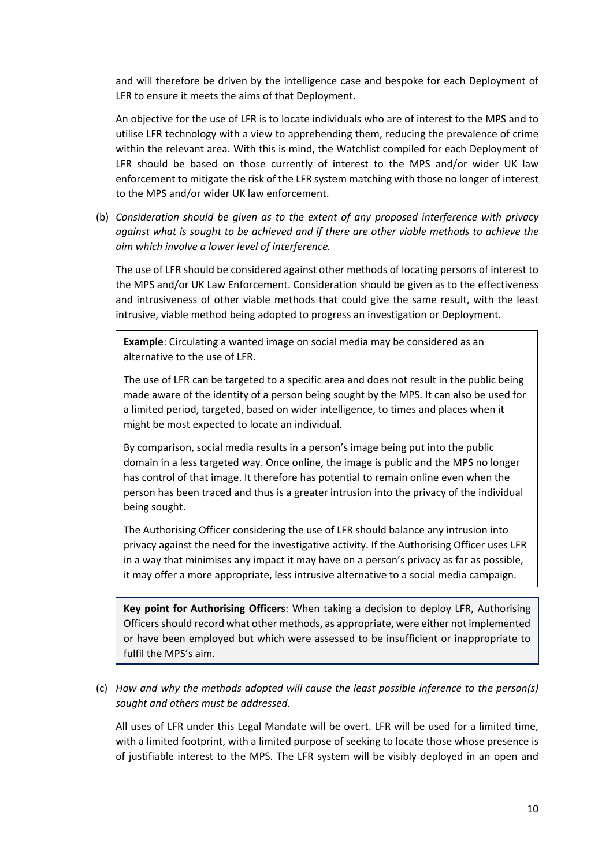and will therefore be driven by the intelligence case and bespoke for each Deployment of LFR to ensure it meets the aims of that Deployment.

An objective for the use of LFR is to locate individuals who are of interest to the MPS and to utilise LFR technology with a view to apprehending them, reducing the prevalence of crime within the relevant area. With this is mind, the Watchlist compiled for each Deployment of LFR should be based on those currently of interest to the MPS and/or wider UK law enforcement to mitigate the risk of the LFR system matching with those no longer of interest to the MPS and/or wider UK law enforcement.

(b) *Consideration should be given as to the extent of any proposed interference with privacy against what is sought to be achieved and if there are other viable methods to achieve the aim which involve a lower level of interference.*

The use of LFR should be considered against other methods of locating persons of interest to the MPS and/or UK Law Enforcement. Consideration should be given as to the effectiveness and intrusiveness of other viable methods that could give the same result, with the least intrusive, viable method being adopted to progress an investigation or Deployment.

**Example**: Circulating a wanted image on social media may be considered as an alternative to the use of LFR.

The use of LFR can be targeted to a specific area and does not result in the public being made aware of the identity of a person being sought by the MPS. It can also be used for a limited period, targeted, based on wider intelligence, to times and places when it might be most expected to locate an individual.

By comparison, social media results in a person's image being put into the public domain in a less targeted way. Once online, the image is public and the MPS no longer has control of that image. It therefore has potential to remain online even when the person has been traced and thus is a greater intrusion into the privacy of the individual being sought.

The Authorising Officer considering the use of LFR should balance any intrusion into privacy against the need for the investigative activity. If the Authorising Officer uses LFR in a way that minimises any impact it may have on a person's privacy as far as possible, it may offer a more appropriate, less intrusive alternative to a social media campaign.

**Key point for Authorising Officers**: When taking a decision to deploy LFR, Authorising Officers should record what other methods, as appropriate, were either not implemented or have been employed but which were assessed to be insufficient or inappropriate to fulfil the MPS's aim.

<span id="page-9-0"></span>(c) *How and why the methods adopted will cause the least possible inference to the person(s) sought and others must be addressed.*

All uses of LFR under this Legal Mandate will be overt. LFR will be used for a limited time, with a limited footprint, with a limited purpose of seeking to locate those whose presence is of justifiable interest to the MPS. The LFR system will be visibly deployed in an open and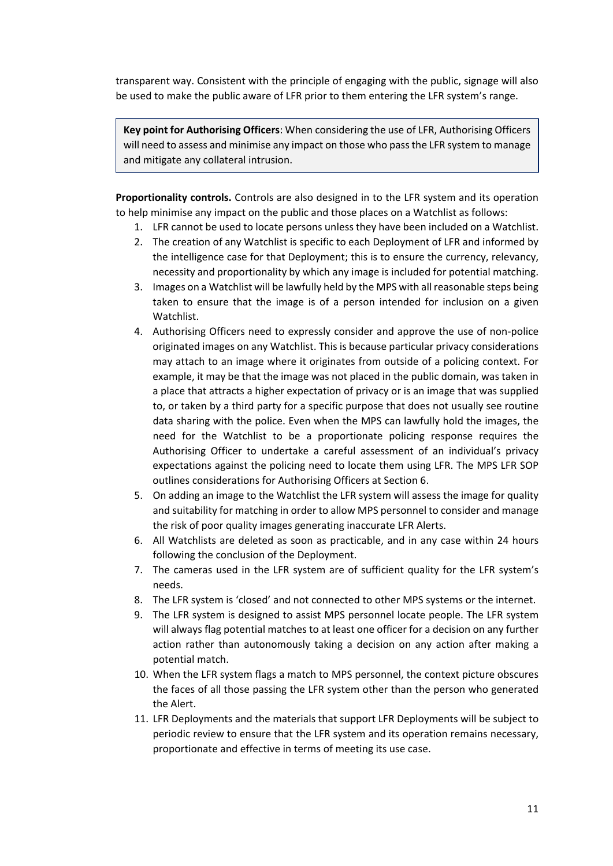transparent way. Consistent with the principle of engaging with the public, signage will also be used to make the public aware of LFR prior to them entering the LFR system's range.

**Key point for Authorising Officers**: When considering the use of LFR, Authorising Officers will need to assess and minimise any impact on those who pass the LFR system to manage and mitigate any collateral intrusion.

**Proportionality controls.** Controls are also designed in to the LFR system and its operation to help minimise any impact on the public and those places on a Watchlist as follows:

- 1. LFR cannot be used to locate persons unless they have been included on a Watchlist.
- 2. The creation of any Watchlist is specific to each Deployment of LFR and informed by the intelligence case for that Deployment; this is to ensure the currency, relevancy, necessity and proportionality by which any image is included for potential matching.
- 3. Images on a Watchlist will be lawfully held by the MPS with all reasonable steps being taken to ensure that the image is of a person intended for inclusion on a given Watchlist.
- 4. Authorising Officers need to expressly consider and approve the use of non-police originated images on any Watchlist. This is because particular privacy considerations may attach to an image where it originates from outside of a policing context. For example, it may be that the image was not placed in the public domain, was taken in a place that attracts a higher expectation of privacy or is an image that was supplied to, or taken by a third party for a specific purpose that does not usually see routine data sharing with the police. Even when the MPS can lawfully hold the images, the need for the Watchlist to be a proportionate policing response requires the Authorising Officer to undertake a careful assessment of an individual's privacy expectations against the policing need to locate them using LFR. The MPS LFR SOP outlines considerations for Authorising Officers at Section 6.
- 5. On adding an image to the Watchlist the LFR system will assess the image for quality and suitability for matching in order to allow MPS personnel to consider and manage the risk of poor quality images generating inaccurate LFR Alerts.
- 6. All Watchlists are deleted as soon as practicable, and in any case within 24 hours following the conclusion of the Deployment.
- 7. The cameras used in the LFR system are of sufficient quality for the LFR system's needs.
- 8. The LFR system is 'closed' and not connected to other MPS systems or the internet.
- 9. The LFR system is designed to assist MPS personnel locate people. The LFR system will always flag potential matches to at least one officer for a decision on any further action rather than autonomously taking a decision on any action after making a potential match.
- 10. When the LFR system flags a match to MPS personnel, the context picture obscures the faces of all those passing the LFR system other than the person who generated the Alert.
- 11. LFR Deployments and the materials that support LFR Deployments will be subject to periodic review to ensure that the LFR system and its operation remains necessary, proportionate and effective in terms of meeting its use case.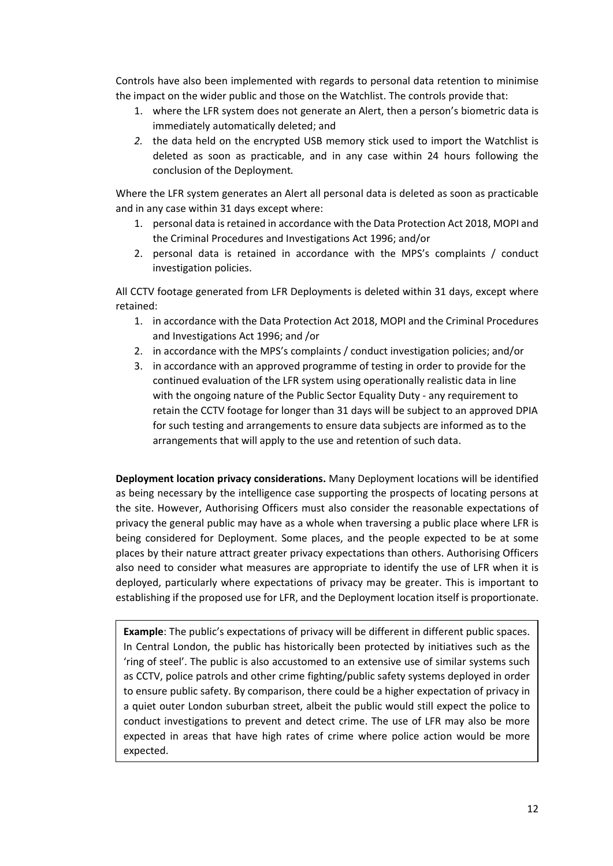Controls have also been implemented with regards to personal data retention to minimise the impact on the wider public and those on the Watchlist. The controls provide that:

- 1. where the LFR system does not generate an Alert, then a person's biometric data is immediately automatically deleted; and
- *2.* the data held on the encrypted USB memory stick used to import the Watchlist is deleted as soon as practicable, and in any case within 24 hours following the conclusion of the Deployment*.*

Where the LFR system generates an Alert all personal data is deleted as soon as practicable and in any case within 31 days except where:

- 1. personal data is retained in accordance with the Data Protection Act 2018, MOPI and the Criminal Procedures and Investigations Act 1996; and/or
- 2. personal data is retained in accordance with the MPS's complaints / conduct investigation policies.

All CCTV footage generated from LFR Deployments is deleted within 31 days, except where retained:

- 1. in accordance with the Data Protection Act 2018, MOPI and the Criminal Procedures and Investigations Act 1996; and /or
- 2. in accordance with the MPS's complaints / conduct investigation policies; and/or
- 3. in accordance with an approved programme of testing in order to provide for the continued evaluation of the LFR system using operationally realistic data in line with the ongoing nature of the Public Sector Equality Duty - any requirement to retain the CCTV footage for longer than 31 days will be subject to an approved DPIA for such testing and arrangements to ensure data subjects are informed as to the arrangements that will apply to the use and retention of such data.

**Deployment location privacy considerations.** Many Deployment locations will be identified as being necessary by the intelligence case supporting the prospects of locating persons at the site. However, Authorising Officers must also consider the reasonable expectations of privacy the general public may have as a whole when traversing a public place where LFR is being considered for Deployment. Some places, and the people expected to be at some places by their nature attract greater privacy expectations than others. Authorising Officers also need to consider what measures are appropriate to identify the use of LFR when it is deployed, particularly where expectations of privacy may be greater. This is important to establishing if the proposed use for LFR, and the Deployment location itself is proportionate.

**Example**: The public's expectations of privacy will be different in different public spaces. In Central London, the public has historically been protected by initiatives such as the 'ring of steel'. The public is also accustomed to an extensive use of similar systems such as CCTV, police patrols and other crime fighting/public safety systems deployed in order to ensure public safety. By comparison, there could be a higher expectation of privacy in a quiet outer London suburban street, albeit the public would still expect the police to conduct investigations to prevent and detect crime. The use of LFR may also be more expected in areas that have high rates of crime where police action would be more expected.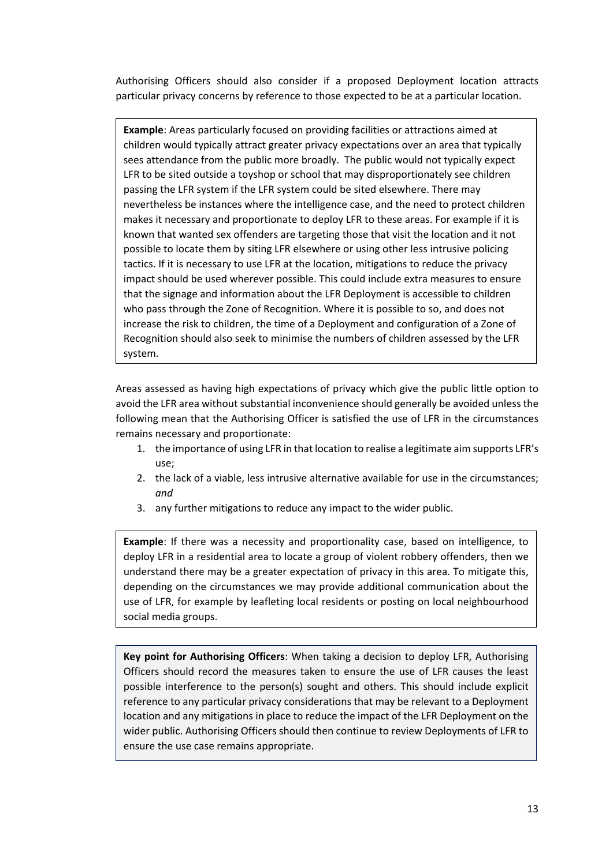Authorising Officers should also consider if a proposed Deployment location attracts particular privacy concerns by reference to those expected to be at a particular location.

**Example**: Areas particularly focused on providing facilities or attractions aimed at children would typically attract greater privacy expectations over an area that typically sees attendance from the public more broadly. The public would not typically expect LFR to be sited outside a toyshop or school that may disproportionately see children passing the LFR system if the LFR system could be sited elsewhere. There may nevertheless be instances where the intelligence case, and the need to protect children makes it necessary and proportionate to deploy LFR to these areas. For example if it is known that wanted sex offenders are targeting those that visit the location and it not possible to locate them by siting LFR elsewhere or using other less intrusive policing tactics. If it is necessary to use LFR at the location, mitigations to reduce the privacy impact should be used wherever possible. This could include extra measures to ensure that the signage and information about the LFR Deployment is accessible to children who pass through the Zone of Recognition. Where it is possible to so, and does not increase the risk to children, the time of a Deployment and configuration of a Zone of Recognition should also seek to minimise the numbers of children assessed by the LFR system.

Areas assessed as having high expectations of privacy which give the public little option to avoid the LFR area without substantial inconvenience should generally be avoided unless the following mean that the Authorising Officer is satisfied the use of LFR in the circumstances remains necessary and proportionate:

- 1. the importance of using LFR in that location to realise a legitimate aim supports LFR's use;
- 2. the lack of a viable, less intrusive alternative available for use in the circumstances; *and*
- 3. any further mitigations to reduce any impact to the wider public.

**Example**: If there was a necessity and proportionality case, based on intelligence, to deploy LFR in a residential area to locate a group of violent robbery offenders, then we understand there may be a greater expectation of privacy in this area. To mitigate this, depending on the circumstances we may provide additional communication about the use of LFR, for example by leafleting local residents or posting on local neighbourhood social media groups.

**Key point for Authorising Officers**: When taking a decision to deploy LFR, Authorising Officers should record the measures taken to ensure the use of LFR causes the least possible interference to the person(s) sought and others. This should include explicit reference to any particular privacy considerations that may be relevant to a Deployment location and any mitigations in place to reduce the impact of the LFR Deployment on the wider public. Authorising Officers should then continue to review Deployments of LFR to ensure the use case remains appropriate.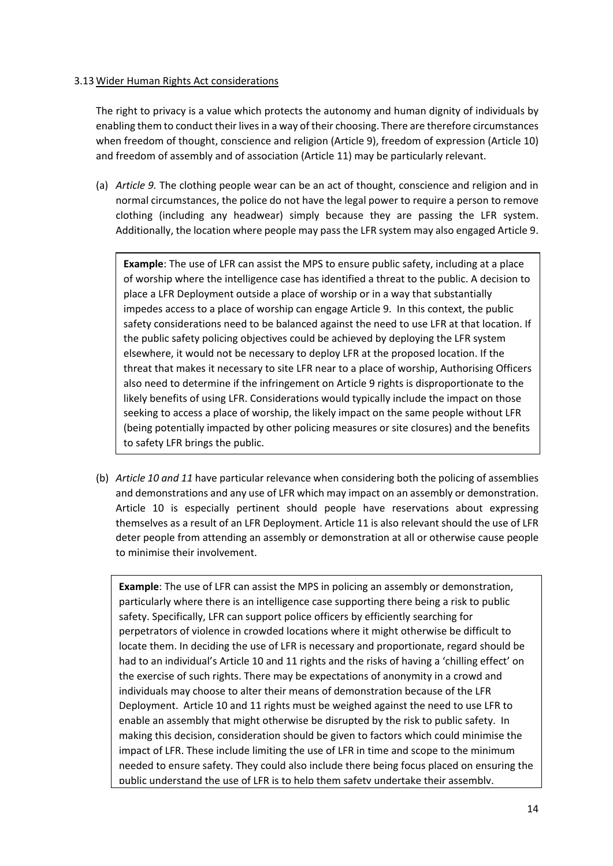### 3.13 Wider Human Rights Act considerations

The right to privacy is a value which protects the autonomy and human dignity of individuals by enabling them to conduct their lives in a way of their choosing. There are therefore circumstances when freedom of thought, conscience and religion (Article 9), freedom of expression (Article 10) and freedom of assembly and of association (Article 11) may be particularly relevant.

(a) *Article 9.* The clothing people wear can be an act of thought, conscience and religion and in normal circumstances, the police do not have the legal power to require a person to remove clothing (including any headwear) simply because they are passing the LFR system. Additionally, the location where people may pass the LFR system may also engaged Article 9.

**Example**: The use of LFR can assist the MPS to ensure public safety, including at a place of worship where the intelligence case has identified a threat to the public. A decision to place a LFR Deployment outside a place of worship or in a way that substantially impedes access to a place of worship can engage Article 9. In this context, the public safety considerations need to be balanced against the need to use LFR at that location. If the public safety policing objectives could be achieved by deploying the LFR system elsewhere, it would not be necessary to deploy LFR at the proposed location. If the threat that makes it necessary to site LFR near to a place of worship, Authorising Officers also need to determine if the infringement on Article 9 rights is disproportionate to the likely benefits of using LFR. Considerations would typically include the impact on those seeking to access a place of worship, the likely impact on the same people without LFR (being potentially impacted by other policing measures or site closures) and the benefits to safety LFR brings the public.

(b) *Article 10 and 11* have particular relevance when considering both the policing of assemblies and demonstrations and any use of LFR which may impact on an assembly or demonstration. Article 10 is especially pertinent should people have reservations about expressing themselves as a result of an LFR Deployment. Article 11 is also relevant should the use of LFR deter people from attending an assembly or demonstration at all or otherwise cause people to minimise their involvement.

**Example**: The use of LFR can assist the MPS in policing an assembly or demonstration, particularly where there is an intelligence case supporting there being a risk to public safety. Specifically, LFR can support police officers by efficiently searching for perpetrators of violence in crowded locations where it might otherwise be difficult to locate them. In deciding the use of LFR is necessary and proportionate, regard should be had to an individual's Article 10 and 11 rights and the risks of having a 'chilling effect' on the exercise of such rights. There may be expectations of anonymity in a crowd and individuals may choose to alter their means of demonstration because of the LFR Deployment. Article 10 and 11 rights must be weighed against the need to use LFR to enable an assembly that might otherwise be disrupted by the risk to public safety. In making this decision, consideration should be given to factors which could minimise the impact of LFR. These include limiting the use of LFR in time and scope to the minimum needed to ensure safety. They could also include there being focus placed on ensuring the public understand the use of LFR is to help them safety undertake their assembly.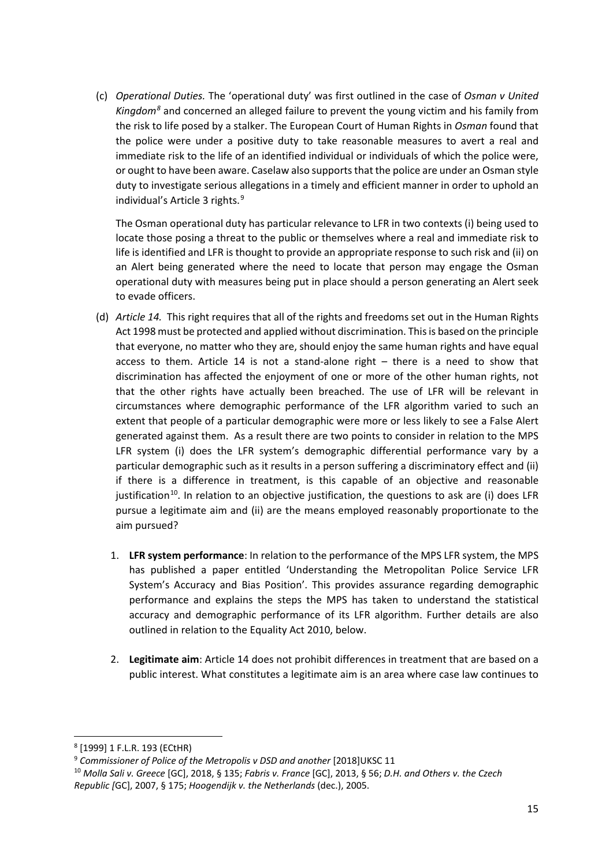(c) *Operational Duties.* The 'operational duty' was first outlined in the case of *Osman v United Kingdom[8](#page-14-0)* and concerned an alleged failure to prevent the young victim and his family from the risk to life posed by a stalker. The European Court of Human Rights in *Osman* found that the police were under a positive duty to take reasonable measures to avert a real and immediate risk to the life of an identified individual or individuals of which the police were, or ought to have been aware. Caselaw also supports that the police are under an Osman style duty to investigate serious allegations in a timely and efficient manner in order to uphold an individual's Article 3 rights.<sup>[9](#page-14-1)</sup>

The Osman operational duty has particular relevance to LFR in two contexts (i) being used to locate those posing a threat to the public or themselves where a real and immediate risk to life is identified and LFR is thought to provide an appropriate response to such risk and (ii) on an Alert being generated where the need to locate that person may engage the Osman operational duty with measures being put in place should a person generating an Alert seek to evade officers.

- (d) *Article 14.* This right requires that all of the rights and freedoms set out in the Human Rights Act 1998 must be protected and applied without discrimination. This is based on the principle that everyone, no matter who they are, should enjoy the same human rights and have equal access to them. Article 14 is not a stand-alone right – there is a need to show that discrimination has affected the enjoyment of one or more of the other human rights, not that the other rights have actually been breached. The use of LFR will be relevant in circumstances where demographic performance of the LFR algorithm varied to such an extent that people of a particular demographic were more or less likely to see a False Alert generated against them. As a result there are two points to consider in relation to the MPS LFR system (i) does the LFR system's demographic differential performance vary by a particular demographic such as it results in a person suffering a discriminatory effect and (ii) if there is a difference in treatment, is this capable of an objective and reasonable justification<sup>10</sup>. In relation to an objective justification, the questions to ask are (i) does LFR pursue a legitimate aim and (ii) are the means employed reasonably proportionate to the aim pursued?
	- 1. **LFR system performance**: In relation to the performance of the MPS LFR system, the MPS has published a paper entitled 'Understanding the Metropolitan Police Service LFR System's Accuracy and Bias Position'. This provides assurance regarding demographic performance and explains the steps the MPS has taken to understand the statistical accuracy and demographic performance of its LFR algorithm. Further details are also outlined in relation to the Equality Act 2010, below.
	- 2. **Legitimate aim**: Article 14 does not prohibit differences in treatment that are based on a public interest. What constitutes a legitimate aim is an area where case law continues to

<span id="page-14-0"></span> <sup>8</sup> [1999] 1 F.L.R. 193 (ECtHR)

<span id="page-14-1"></span><sup>9</sup> *Commissioner of Police of the Metropolis v DSD and another* [2018]UKSC 11

<span id="page-14-2"></span><sup>10</sup> *Molla Sali v. Greece* [GC], 2018, § 135; *Fabris v. France* [GC], 2013, § 56; *D.H. and Others v. the Czech Republic [*GC], 2007, § 175; *Hoogendijk v. the Netherlands* (dec.), 2005.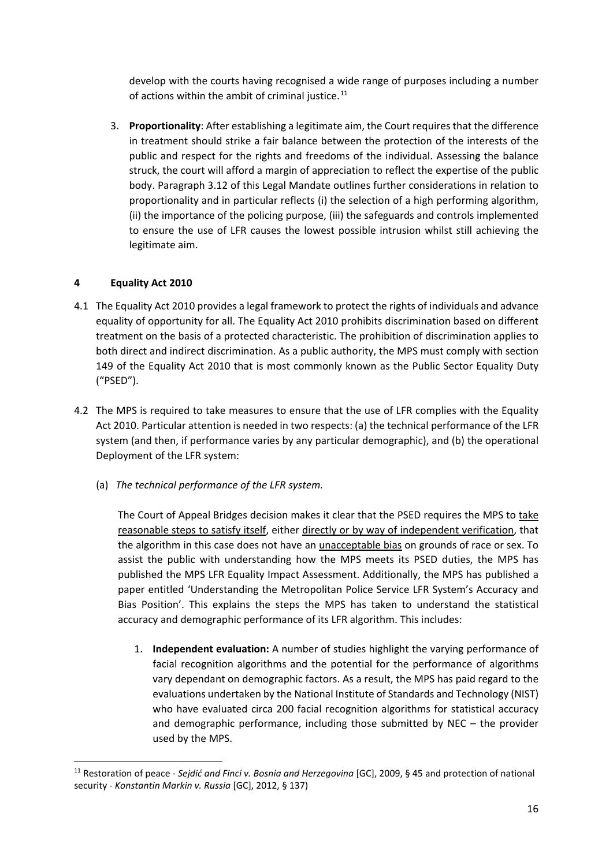develop with the courts having recognised a wide range of purposes including a number of actions within the ambit of criminal justice. $^{11}$  $^{11}$  $^{11}$ 

3. **Proportionality**: After establishing a legitimate aim, the Court requires that the difference in treatment should strike a fair balance between the protection of the interests of the public and respect for the rights and freedoms of the individual. Assessing the balance struck, the court will afford a margin of appreciation to reflect the expertise of the public body. Paragraph [3.12](#page-8-0) of this Legal Mandate outlines further considerations in relation to proportionality and in particular reflects (i) the selection of a high performing algorithm, (ii) the importance of the policing purpose, (iii) the safeguards and controls implemented to ensure the use of LFR causes the lowest possible intrusion whilst still achieving the legitimate aim.

# <span id="page-15-0"></span>**4 Equality Act 2010**

- 4.1 The Equality Act 2010 provides a legal framework to protect the rights of individuals and advance equality of opportunity for all. The Equality Act 2010 prohibits discrimination based on different treatment on the basis of a protected characteristic. The prohibition of discrimination applies to both direct and indirect discrimination. As a public authority, the MPS must comply with section 149 of the Equality Act 2010 that is most commonly known as the Public Sector Equality Duty ("PSED").
- 4.2 The MPS is required to take measures to ensure that the use of LFR complies with the Equality Act 2010. Particular attention is needed in two respects: (a) the technical performance of the LFR system (and then, if performance varies by any particular demographic), and (b) the operational Deployment of the LFR system:
	- (a) *The technical performance of the LFR system.*

The Court of Appeal Bridges decision makes it clear that the PSED requires the MPS to take reasonable steps to satisfy itself, either directly or by way of independent verification, that the algorithm in this case does not have an unacceptable bias on grounds of race or sex. To assist the public with understanding how the MPS meets its PSED duties, the MPS has published the MPS LFR Equality Impact Assessment. Additionally, the MPS has published a paper entitled 'Understanding the Metropolitan Police Service LFR System's Accuracy and Bias Position'. This explains the steps the MPS has taken to understand the statistical accuracy and demographic performance of its LFR algorithm. This includes:

1. **Independent evaluation:** A number of studies highlight the varying performance of facial recognition algorithms and the potential for the performance of algorithms vary dependant on demographic factors. As a result, the MPS has paid regard to the evaluations undertaken by the National Institute of Standards and Technology (NIST) who have evaluated circa 200 facial recognition algorithms for statistical accuracy and demographic performance, including those submitted by NEC – the provider used by the MPS.

<span id="page-15-1"></span> <sup>11</sup> Restoration of peace - *Sejdić and Finci v. Bosnia and Herzegovina* [GC], 2009, § 45 and protection of national security - *Konstantin Markin v. Russia* [GC], 2012, § 137)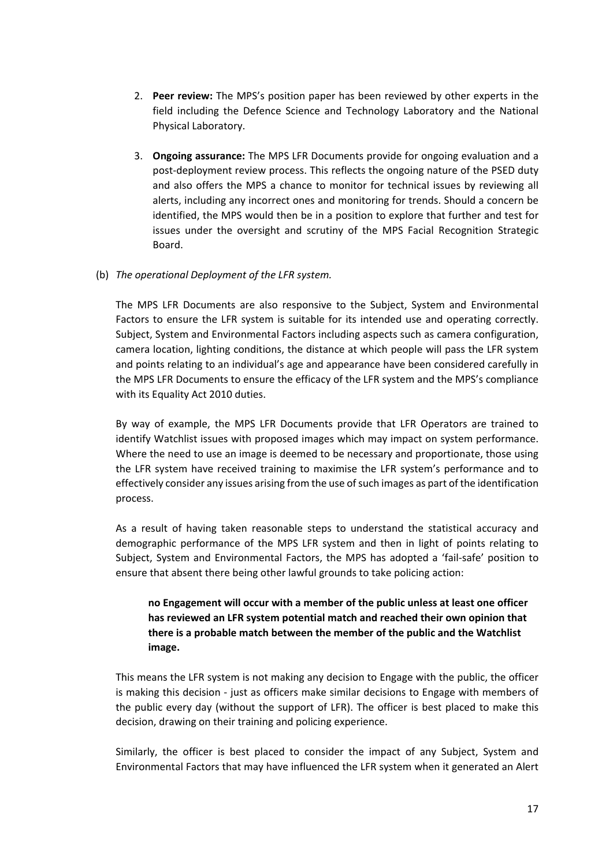- 2. **Peer review:** The MPS's position paper has been reviewed by other experts in the field including the Defence Science and Technology Laboratory and the National Physical Laboratory.
- 3. **Ongoing assurance:** The MPS LFR Documents provide for ongoing evaluation and a post-deployment review process. This reflects the ongoing nature of the PSED duty and also offers the MPS a chance to monitor for technical issues by reviewing all alerts, including any incorrect ones and monitoring for trends. Should a concern be identified, the MPS would then be in a position to explore that further and test for issues under the oversight and scrutiny of the MPS Facial Recognition Strategic Board.
- (b) *The operational Deployment of the LFR system.*

The MPS LFR Documents are also responsive to the Subject, System and Environmental Factors to ensure the LFR system is suitable for its intended use and operating correctly. Subject, System and Environmental Factors including aspects such as camera configuration, camera location, lighting conditions, the distance at which people will pass the LFR system and points relating to an individual's age and appearance have been considered carefully in the MPS LFR Documents to ensure the efficacy of the LFR system and the MPS's compliance with its Equality Act 2010 duties.

By way of example, the MPS LFR Documents provide that LFR Operators are trained to identify Watchlist issues with proposed images which may impact on system performance. Where the need to use an image is deemed to be necessary and proportionate, those using the LFR system have received training to maximise the LFR system's performance and to effectively consider any issues arising from the use of such images as part of the identification process.

As a result of having taken reasonable steps to understand the statistical accuracy and demographic performance of the MPS LFR system and then in light of points relating to Subject, System and Environmental Factors, the MPS has adopted a 'fail-safe' position to ensure that absent there being other lawful grounds to take policing action:

# **no Engagement will occur with a member of the public unless at least one officer has reviewed an LFR system potential match and reached their own opinion that there is a probable match between the member of the public and the Watchlist image.**

This means the LFR system is not making any decision to Engage with the public, the officer is making this decision - just as officers make similar decisions to Engage with members of the public every day (without the support of LFR). The officer is best placed to make this decision, drawing on their training and policing experience.

Similarly, the officer is best placed to consider the impact of any Subject, System and Environmental Factors that may have influenced the LFR system when it generated an Alert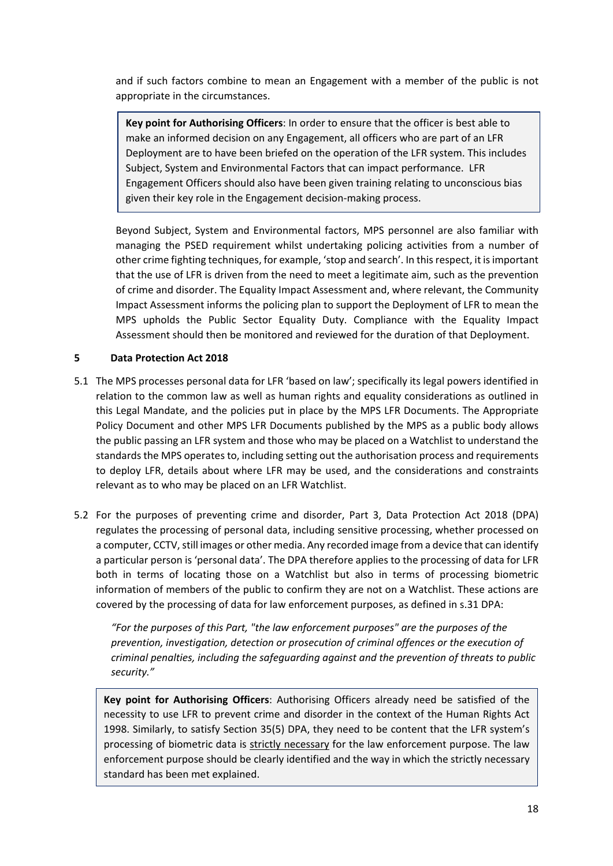and if such factors combine to mean an Engagement with a member of the public is not appropriate in the circumstances.

**Key point for Authorising Officers**: In order to ensure that the officer is best able to make an informed decision on any Engagement, all officers who are part of an LFR Deployment are to have been briefed on the operation of the LFR system. This includes Subject, System and Environmental Factors that can impact performance. LFR Engagement Officers should also have been given training relating to unconscious bias given their key role in the Engagement decision-making process.

Beyond Subject, System and Environmental factors, MPS personnel are also familiar with managing the PSED requirement whilst undertaking policing activities from a number of other crime fighting techniques, for example, 'stop and search'. In this respect, it is important that the use of LFR is driven from the need to meet a legitimate aim, such as the prevention of crime and disorder. The Equality Impact Assessment and, where relevant, the Community Impact Assessment informs the policing plan to support the Deployment of LFR to mean the MPS upholds the Public Sector Equality Duty. Compliance with the Equality Impact Assessment should then be monitored and reviewed for the duration of that Deployment.

# <span id="page-17-0"></span>**5 Data Protection Act 2018**

- 5.1 The MPS processes personal data for LFR 'based on law'; specifically its legal powers identified in relation to the common law as well as human rights and equality considerations as outlined in this Legal Mandate, and the policies put in place by the MPS LFR Documents. The Appropriate Policy Document and other MPS LFR Documents published by the MPS as a public body allows the public passing an LFR system and those who may be placed on a Watchlist to understand the standards the MPS operates to, including setting out the authorisation process and requirements to deploy LFR, details about where LFR may be used, and the considerations and constraints relevant as to who may be placed on an LFR Watchlist.
- 5.2 For the purposes of preventing crime and disorder, Part 3, Data Protection Act 2018 (DPA) regulates the processing of personal data, including sensitive processing, whether processed on a computer, CCTV, still images or other media. Any recorded image from a device that can identify a particular person is 'personal data'. The DPA therefore applies to the processing of data for LFR both in terms of locating those on a Watchlist but also in terms of processing biometric information of members of the public to confirm they are not on a Watchlist. These actions are covered by the processing of data for law enforcement purposes, as defined in s.31 DPA:

*"For the purposes of this Part, "the law enforcement purposes" are the purposes of the prevention, investigation, detection or prosecution of criminal offences or the execution of criminal penalties, including the safeguarding against and the prevention of threats to public security."*

**Key point for Authorising Officers**: Authorising Officers already need be satisfied of the necessity to use LFR to prevent crime and disorder in the context of the Human Rights Act 1998. Similarly, to satisfy Section 35(5) DPA, they need to be content that the LFR system's processing of biometric data is strictly necessary for the law enforcement purpose. The law enforcement purpose should be clearly identified and the way in which the strictly necessary standard has been met explained.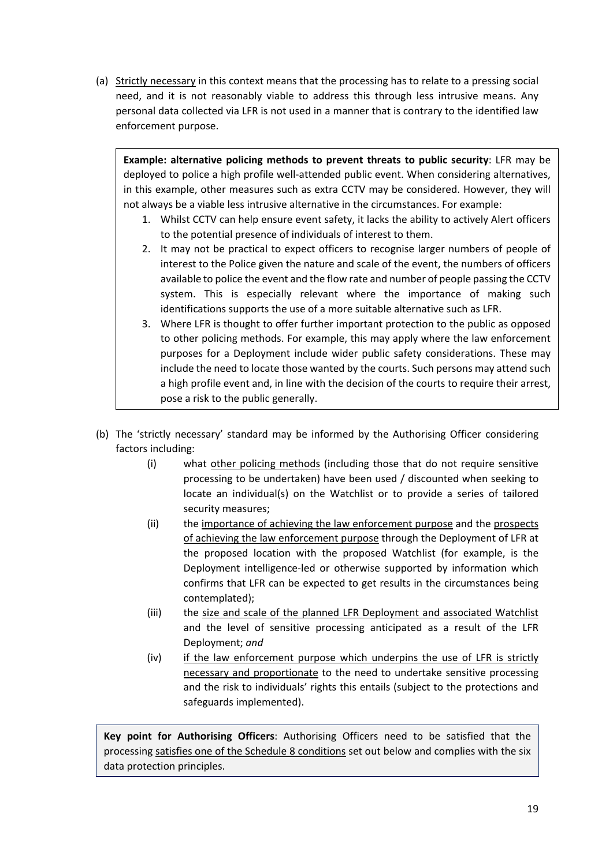(a) Strictly necessary in this context means that the processing has to relate to a pressing social need, and it is not reasonably viable to address this through less intrusive means. Any personal data collected via LFR is not used in a manner that is contrary to the identified law enforcement purpose.

**Example: alternative policing methods to prevent threats to public security**: LFR may be deployed to police a high profile well-attended public event. When considering alternatives, in this example, other measures such as extra CCTV may be considered. However, they will not always be a viable less intrusive alternative in the circumstances. For example:

- 1. Whilst CCTV can help ensure event safety, it lacks the ability to actively Alert officers to the potential presence of individuals of interest to them.
- 2. It may not be practical to expect officers to recognise larger numbers of people of interest to the Police given the nature and scale of the event, the numbers of officers available to police the event and the flow rate and number of people passing the CCTV system. This is especially relevant where the importance of making such identifications supports the use of a more suitable alternative such as LFR.
- 3. Where LFR is thought to offer further important protection to the public as opposed to other policing methods. For example, this may apply where the law enforcement purposes for a Deployment include wider public safety considerations. These may include the need to locate those wanted by the courts. Such persons may attend such a high profile event and, in line with the decision of the courts to require their arrest, pose a risk to the public generally.
- (b) The 'strictly necessary' standard may be informed by the Authorising Officer considering factors including:
	- (i) what other policing methods (including those that do not require sensitive processing to be undertaken) have been used / discounted when seeking to locate an individual(s) on the Watchlist or to provide a series of tailored security measures;
	- (ii) the importance of achieving the law enforcement purpose and the prospects of achieving the law enforcement purpose through the Deployment of LFR at the proposed location with the proposed Watchlist (for example, is the Deployment intelligence-led or otherwise supported by information which confirms that LFR can be expected to get results in the circumstances being contemplated);
	- (iii) the size and scale of the planned LFR Deployment and associated Watchlist and the level of sensitive processing anticipated as a result of the LFR Deployment; *and*
	- (iv) if the law enforcement purpose which underpins the use of LFR is strictly necessary and proportionate to the need to undertake sensitive processing and the risk to individuals' rights this entails (subject to the protections and safeguards implemented).

**Key point for Authorising Officers**: Authorising Officers need to be satisfied that the processing satisfies one of the Schedule 8 conditions set out below and complies with the six data protection principles.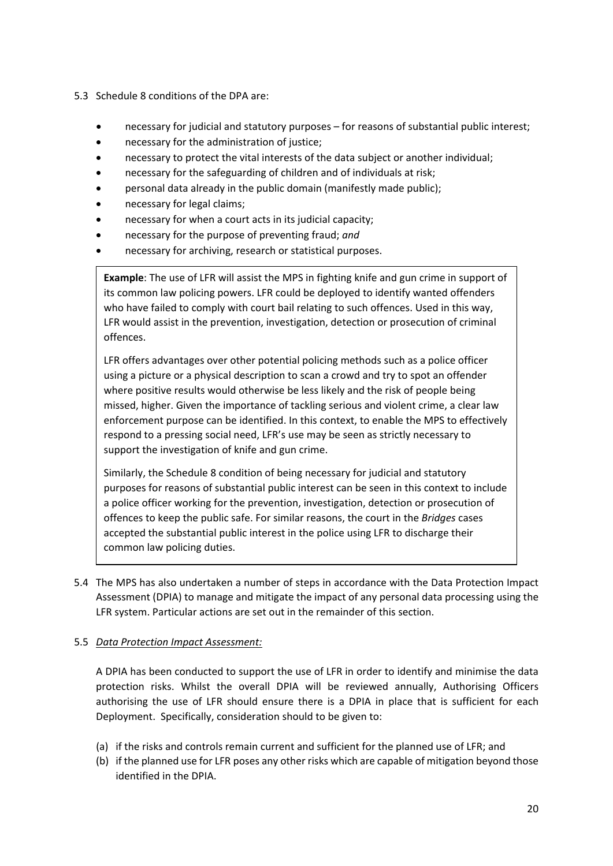- 5.3 Schedule 8 conditions of the DPA are:
	- necessary for judicial and statutory purposes for reasons of substantial public interest;
	- necessary for the administration of justice;
	- necessary to protect the vital interests of the data subject or another individual;
	- necessary for the safeguarding of children and of individuals at risk;
	- personal data already in the public domain (manifestly made public);
	- necessary for legal claims;
	- necessary for when a court acts in its judicial capacity;
	- necessary for the purpose of preventing fraud; *and*
	- necessary for archiving, research or statistical purposes.

**Example**: The use of LFR will assist the MPS in fighting knife and gun crime in support of its common law policing powers. LFR could be deployed to identify wanted offenders who have failed to comply with court bail relating to such offences. Used in this way, LFR would assist in the prevention, investigation, detection or prosecution of criminal offences.

LFR offers advantages over other potential policing methods such as a police officer using a picture or a physical description to scan a crowd and try to spot an offender where positive results would otherwise be less likely and the risk of people being missed, higher. Given the importance of tackling serious and violent crime, a clear law enforcement purpose can be identified. In this context, to enable the MPS to effectively respond to a pressing social need, LFR's use may be seen as strictly necessary to support the investigation of knife and gun crime.

Similarly, the Schedule 8 condition of being necessary for judicial and statutory purposes for reasons of substantial public interest can be seen in this context to include a police officer working for the prevention, investigation, detection or prosecution of offences to keep the public safe. For similar reasons, the court in the *Bridges* cases accepted the substantial public interest in the police using LFR to discharge their common law policing duties.

5.4 The MPS has also undertaken a number of steps in accordance with the Data Protection Impact Assessment (DPIA) to manage and mitigate the impact of any personal data processing using the LFR system. Particular actions are set out in the remainder of this section.

## 5.5 *Data Protection Impact Assessment:*

A DPIA has been conducted to support the use of LFR in order to identify and minimise the data protection risks. Whilst the overall DPIA will be reviewed annually, Authorising Officers authorising the use of LFR should ensure there is a DPIA in place that is sufficient for each Deployment. Specifically, consideration should to be given to:

- (a) if the risks and controls remain current and sufficient for the planned use of LFR; and
- (b) if the planned use for LFR poses any other risks which are capable of mitigation beyond those identified in the DPIA.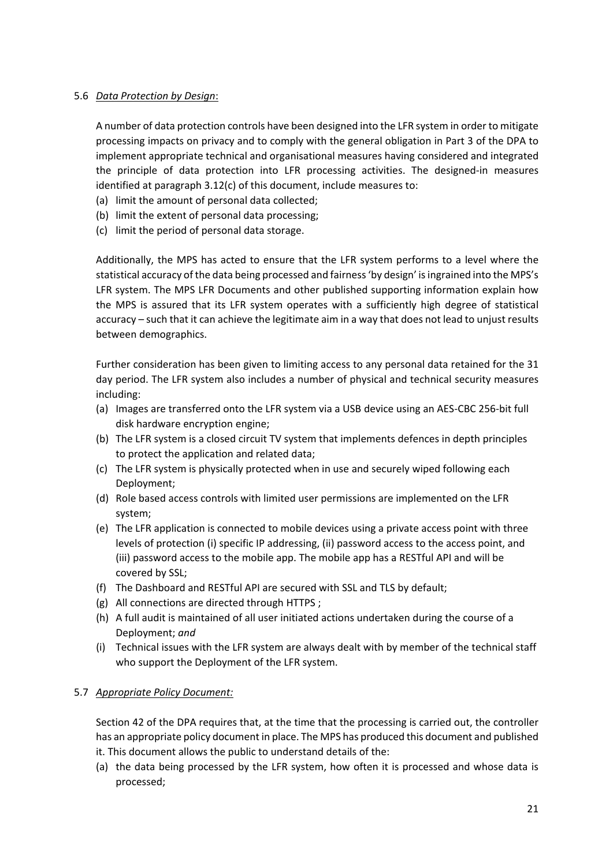### 5.6 *Data Protection by Design*:

A number of data protection controls have been designed into the LFR system in order to mitigate processing impacts on privacy and to comply with the general obligation in Part 3 of the DPA to implement appropriate technical and organisational measures having considered and integrated the principle of data protection into LFR processing activities. The designed-in measures identified at paragrap[h 3.12\(c\)](#page-9-0) of this document, include measures to:

- (a) limit the amount of personal data collected;
- (b) limit the extent of personal data processing;
- (c) limit the period of personal data storage.

Additionally, the MPS has acted to ensure that the LFR system performs to a level where the statistical accuracy of the data being processed and fairness 'by design' is ingrained into the MPS's LFR system. The MPS LFR Documents and other published supporting information explain how the MPS is assured that its LFR system operates with a sufficiently high degree of statistical accuracy – such that it can achieve the legitimate aim in a way that does not lead to unjust results between demographics.

Further consideration has been given to limiting access to any personal data retained for the 31 day period. The LFR system also includes a number of physical and technical security measures including:

- (a) Images are transferred onto the LFR system via a USB device using an AES-CBC 256-bit full disk hardware encryption engine;
- (b) The LFR system is a closed circuit TV system that implements defences in depth principles to protect the application and related data;
- (c) The LFR system is physically protected when in use and securely wiped following each Deployment;
- (d) Role based access controls with limited user permissions are implemented on the LFR system;
- (e) The LFR application is connected to mobile devices using a private access point with three levels of protection (i) specific IP addressing, (ii) password access to the access point, and (iii) password access to the mobile app. The mobile app has a RESTful API and will be covered by SSL;
- (f) The Dashboard and RESTful API are secured with SSL and TLS by default;
- (g) All connections are directed through HTTPS ;
- (h) A full audit is maintained of all user initiated actions undertaken during the course of a Deployment; *and*
- (i) Technical issues with the LFR system are always dealt with by member of the technical staff who support the Deployment of the LFR system.

## 5.7 *Appropriate Policy Document:*

Section 42 of the DPA requires that, at the time that the processing is carried out, the controller has an appropriate policy document in place. The MPS has produced this document and published it. This document allows the public to understand details of the:

(a) the data being processed by the LFR system, how often it is processed and whose data is processed;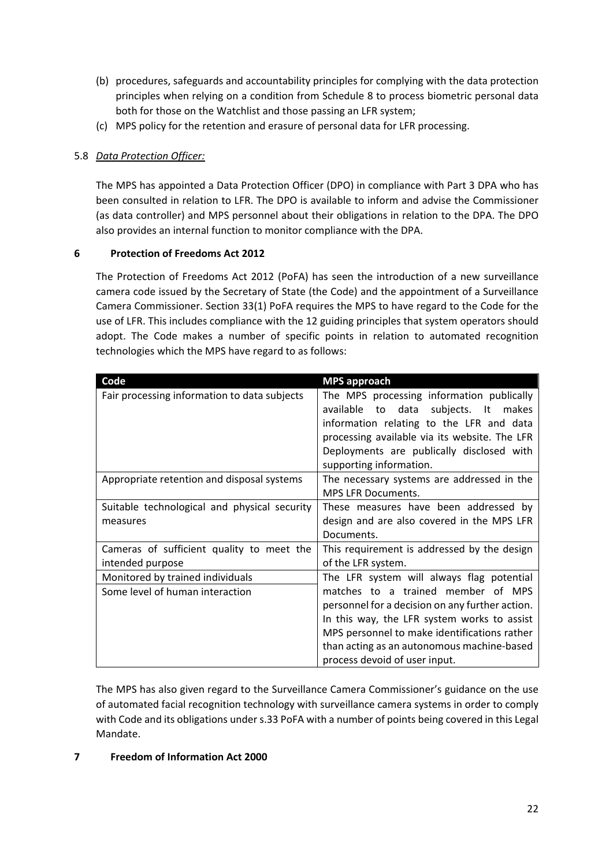- (b) procedures, safeguards and accountability principles for complying with the data protection principles when relying on a condition from Schedule 8 to process biometric personal data both for those on the Watchlist and those passing an LFR system;
- (c) MPS policy for the retention and erasure of personal data for LFR processing.

# 5.8 *Data Protection Officer:*

The MPS has appointed a Data Protection Officer (DPO) in compliance with Part 3 DPA who has been consulted in relation to LFR. The DPO is available to inform and advise the Commissioner (as data controller) and MPS personnel about their obligations in relation to the DPA. The DPO also provides an internal function to monitor compliance with the DPA.

# <span id="page-21-0"></span>**6 Protection of Freedoms Act 2012**

The Protection of Freedoms Act 2012 (PoFA) has seen the introduction of a new surveillance camera code issued by the Secretary of State (the Code) and the appointment of a Surveillance Camera Commissioner. Section 33(1) PoFA requires the MPS to have regard to the Code for the use of LFR. This includes compliance with the 12 guiding principles that system operators should adopt. The Code makes a number of specific points in relation to automated recognition technologies which the MPS have regard to as follows:

| Code                                         | <b>MPS approach</b>                                                                                                                                                                                                                                    |
|----------------------------------------------|--------------------------------------------------------------------------------------------------------------------------------------------------------------------------------------------------------------------------------------------------------|
| Fair processing information to data subjects | The MPS processing information publically<br>available to data subjects. It makes<br>information relating to the LFR and data<br>processing available via its website. The LFR<br>Deployments are publically disclosed with<br>supporting information. |
| Appropriate retention and disposal systems   | The necessary systems are addressed in the<br><b>MPS LFR Documents.</b>                                                                                                                                                                                |
| Suitable technological and physical security | These measures have been addressed by                                                                                                                                                                                                                  |
| measures                                     | design and are also covered in the MPS LFR                                                                                                                                                                                                             |
|                                              | Documents.                                                                                                                                                                                                                                             |
| Cameras of sufficient quality to meet the    | This requirement is addressed by the design                                                                                                                                                                                                            |
| intended purpose                             | of the LFR system.                                                                                                                                                                                                                                     |
| Monitored by trained individuals             | The LFR system will always flag potential                                                                                                                                                                                                              |
| Some level of human interaction              | matches to a trained member of MPS                                                                                                                                                                                                                     |
|                                              | personnel for a decision on any further action.                                                                                                                                                                                                        |
|                                              | In this way, the LFR system works to assist                                                                                                                                                                                                            |
|                                              | MPS personnel to make identifications rather                                                                                                                                                                                                           |
|                                              | than acting as an autonomous machine-based                                                                                                                                                                                                             |
|                                              | process devoid of user input.                                                                                                                                                                                                                          |

The MPS has also given regard to the Surveillance Camera Commissioner's guidance on the use of automated facial recognition technology with surveillance camera systems in order to comply with Code and its obligations under s.33 PoFA with a number of points being covered in this Legal Mandate.

## <span id="page-21-1"></span>**7 Freedom of Information Act 2000**